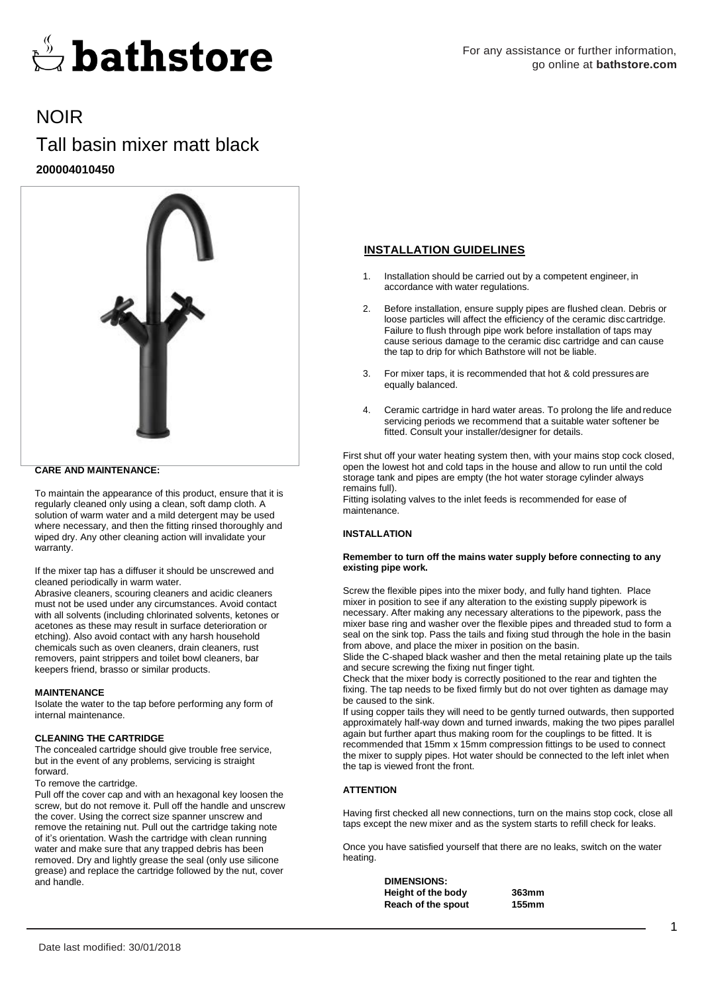

# NOIR

## Tall basin mixer matt black **200004010450**



## **CARE AND MAINTENANCE:**

To maintain the appearance of this product, ensure that it is regularly cleaned only using a clean, soft damp cloth. A solution of warm water and a mild detergent may be used where necessary, and then the fitting rinsed thoroughly and wiped dry. Any other cleaning action will invalidate your warranty.

If the mixer tap has a diffuser it should be unscrewed and cleaned periodically in warm water.

Abrasive cleaners, scouring cleaners and acidic cleaners must not be used under any circumstances. Avoid contact with all solvents (including chlorinated solvents, ketones or acetones as these may result in surface deterioration or etching). Also avoid contact with any harsh household chemicals such as oven cleaners, drain cleaners, rust removers, paint strippers and toilet bowl cleaners, bar keepers friend, brasso or similar products.

#### **MAINTENANCE**

Isolate the water to the tap before performing any form of internal maintenance.

#### **CLEANING THE CARTRIDGE**

The concealed cartridge should give trouble free service, but in the event of any problems, servicing is straight forward.

#### To remove the cartridge.

Pull off the cover cap and with an hexagonal key loosen the screw, but do not remove it. Pull off the handle and unscrew the cover. Using the correct size spanner unscrew and remove the retaining nut. Pull out the cartridge taking note of it's orientation. Wash the cartridge with clean running water and make sure that any trapped debris has been removed. Dry and lightly grease the seal (only use silicone grease) and replace the cartridge followed by the nut, cover and handle.

## **INSTALLATION GUIDELINES**

- 1. Installation should be carried out by a competent engineer, in accordance with water regulations.
- 2. Before installation, ensure supply pipes are flushed clean. Debris or loose particles will affect the efficiency of the ceramic disc cartridge. Failure to flush through pipe work before installation of taps may cause serious damage to the ceramic disc cartridge and can cause the tap to drip for which Bathstore will not be liable.
- 3. For mixer taps, it is recommended that hot & cold pressures are equally balanced.
- 4. Ceramic cartridge in hard water areas. To prolong the life and reduce servicing periods we recommend that a suitable water softener be fitted. Consult your installer/designer for details.

First shut off your water heating system then, with your mains stop cock closed, open the lowest hot and cold taps in the house and allow to run until the cold storage tank and pipes are empty (the hot water storage cylinder always remains full).

Fitting isolating valves to the inlet feeds is recommended for ease of maintenance.

## **INSTALLATION**

#### **Remember to turn off the mains water supply before connecting to any existing pipe work.**

Screw the flexible pipes into the mixer body, and fully hand tighten. Place mixer in position to see if any alteration to the existing supply pipework is necessary. After making any necessary alterations to the pipework, pass the mixer base ring and washer over the flexible pipes and threaded stud to form a seal on the sink top. Pass the tails and fixing stud through the hole in the basin from above, and place the mixer in position on the basin.

Slide the C-shaped black washer and then the metal retaining plate up the tails and secure screwing the fixing nut finger tight.

Check that the mixer body is correctly positioned to the rear and tighten the fixing. The tap needs to be fixed firmly but do not over tighten as damage may be caused to the sink.

If using copper tails they will need to be gently turned outwards, then supported approximately half-way down and turned inwards, making the two pipes parallel again but further apart thus making room for the couplings to be fitted. It is recommended that 15mm x 15mm compression fittings to be used to connect the mixer to supply pipes. Hot water should be connected to the left inlet when the tap is viewed front the front.

## **ATTENTION**

Having first checked all new connections, turn on the mains stop cock, close all taps except the new mixer and as the system starts to refill check for leaks.

Once you have satisfied yourself that there are no leaks, switch on the water heating.

> **DIMENSIONS: Height of the body 363mm Reach of the spout 155mm**